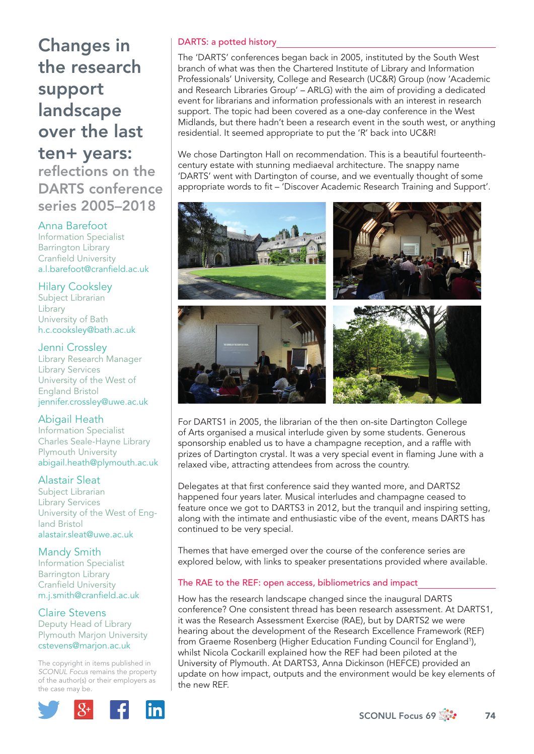# Changes in the research support landscape over the last

# ten+ years: reflections on the DARTS conference series 2005–2018

## Anna Barefoot

Information Specialist Barrington Library **Cranfield University** a.l.barefoot@cranfield.ac.uk

#### Hilary Cooksley

Subject Librarian Library University of Bath h.c.cooksley@bath.ac.uk

#### Jenni Crossley

Library Research Manager Library Services University of the West of England Bristol jennifer.crossley@uwe.ac.uk

## Abigail Heath

Information Specialist Charles Seale-Hayne Library Plymouth University abigail.heath@plymouth.ac.uk

## Alastair Sleat

Subject Librarian Library Services University of the West of England Bristol alastair.sleat@uwe.ac.uk

## Mandy Smith

Information Specialist Barrington Library Cranfield University m.j.smith@cranfield.ac.uk

## Claire Stevens

Deputy Head of Library Plymouth Marjon University cstevens@marjon.ac.uk

The copyright in items published in *SCONUL Focus* remains the property of the author(s) or their employers as the case may be.



## DARTS: a potted history

The 'DARTS' conferences began back in 2005, instituted by the South West branch of what was then the Chartered Institute of Library and Information Professionals' University, College and Research (UC&R) Group (now 'Academic and Research Libraries Group' – ARLG) with the aim of providing a dedicated event for librarians and information professionals with an interest in research support. The topic had been covered as a one-day conference in the West Midlands, but there hadn't been a research event in the south west, or anything residential. It seemed appropriate to put the 'R' back into UC&R!

We chose Dartington Hall on recommendation. This is a beautiful fourteenthcentury estate with stunning mediaeval architecture. The snappy name 'DARTS' went with Dartington of course, and we eventually thought of some appropriate words to fit - 'Discover Academic Research Training and Support'.



For DARTS1 in 2005, the librarian of the then on-site Dartington College of Arts organised a musical interlude given by some students. Generous sponsorship enabled us to have a champagne reception, and a raffle with prizes of Dartington crystal. It was a very special event in flaming June with a relaxed vibe, attracting attendees from across the country.

Delegates at that first conference said they wanted more, and DARTS2 happened four years later. Musical interludes and champagne ceased to feature once we got to DARTS3 in 2012, but the tranquil and inspiring setting, along with the intimate and enthusiastic vibe of the event, means DARTS has continued to be very special.

Themes that have emerged over the course of the conference series are explored below, with links to speaker presentations provided where available.

#### The RAE to the REF: open access, bibliometrics and impact

How has the research landscape changed since the inaugural DARTS conference? One consistent thread has been research assessment. At DARTS1, it was the Research Assessment Exercise (RAE), but by DARTS2 we were hearing about the development of the Research Excellence Framework (REF) from Graeme Rosenberg (Higher Education Funding Council for England<sup>1</sup>), whilst Nicola Cockarill explained how the REF had been piloted at the University of Plymouth. At DARTS3, Anna Dickinson (HEFCE) provided an update on how impact, outputs and the environment would be key elements of the new REF.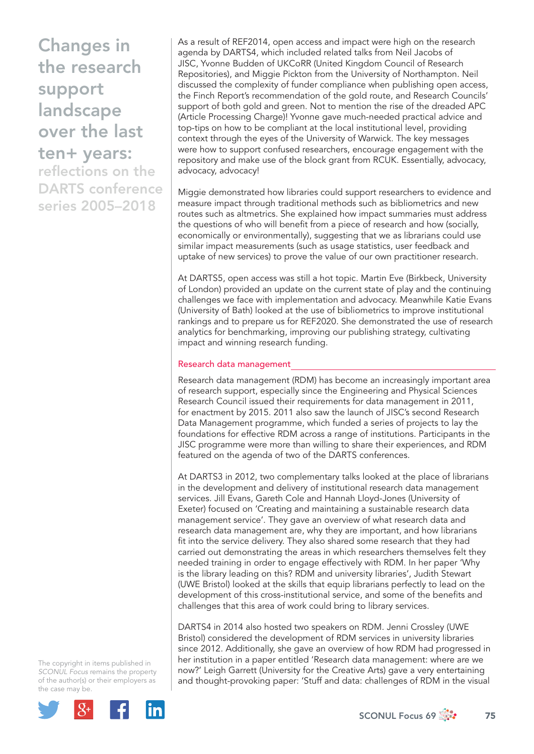Changes in the research support landscape over the last ten+ years:

reflections on the DARTS conference series 2005–2018

As a result of REF2014, open access and impact were high on the research agenda by DARTS4, which included related talks from Neil Jacobs of JISC, Yvonne Budden of UKCoRR (United Kingdom Council of Research Repositories), and Miggie Pickton from the University of Northampton. Neil discussed the complexity of funder compliance when publishing open access, the Finch Report's recommendation of the gold route, and Research Councils' support of both gold and green. Not to mention the rise of the dreaded APC (Article Processing Charge)! Yvonne gave much-needed practical advice and top-tips on how to be compliant at the local institutional level, providing context through the eyes of the University of Warwick. The key messages were how to support confused researchers, encourage engagement with the repository and make use of the block grant from RCUK. Essentially, advocacy, advocacy, advocacy!

Miggie demonstrated how libraries could support researchers to evidence and measure impact through traditional methods such as bibliometrics and new routes such as altmetrics. She explained how impact summaries must address the questions of who will benefit from a piece of research and how (socially, economically or environmentally), suggesting that we as librarians could use similar impact measurements (such as usage statistics, user feedback and uptake of new services) to prove the value of our own practitioner research.

At DARTS5, open access was still a hot topic. Martin Eve (Birkbeck, University of London) provided an update on the current state of play and the continuing challenges we face with implementation and advocacy. Meanwhile Katie Evans (University of Bath) looked at the use of bibliometrics to improve institutional rankings and to prepare us for REF2020. She demonstrated the use of research analytics for benchmarking, improving our publishing strategy, cultivating impact and winning research funding.

#### Research data management

Research data management (RDM) has become an increasingly important area of research support, especially since the Engineering and Physical Sciences Research Council issued their requirements for data management in 2011, for enactment by 2015. 2011 also saw the launch of JISC's second Research Data Management programme, which funded a series of projects to lay the foundations for effective RDM across a range of institutions. Participants in the JISC programme were more than willing to share their experiences, and RDM featured on the agenda of two of the DARTS conferences.

At DARTS3 in 2012, two complementary talks looked at the place of librarians in the development and delivery of institutional research data management services. Jill Evans, Gareth Cole and Hannah Lloyd-Jones (University of Exeter) focused on 'Creating and maintaining a sustainable research data management service'. They gave an overview of what research data and research data management are, why they are important, and how librarians fit into the service delivery. They also shared some research that they had carried out demonstrating the areas in which researchers themselves felt they needed training in order to engage effectively with RDM. In her paper 'Why is the library leading on this? RDM and university libraries', Judith Stewart (UWE Bristol) looked at the skills that equip librarians perfectly to lead on the development of this cross-institutional service, and some of the benefits and challenges that this area of work could bring to library services.

DARTS4 in 2014 also hosted two speakers on RDM. Jenni Crossley (UWE Bristol) considered the development of RDM services in university libraries since 2012. Additionally, she gave an overview of how RDM had progressed in her institution in a paper entitled 'Research data management: where are we now?' Leigh Garrett (University for the Creative Arts) gave a very entertaining and thought-provoking paper: 'Stuff and data: challenges of RDM in the visual

The copyright in items published in *SCONUL Focus* remains the property of the author(s) or their employers as the case may be.



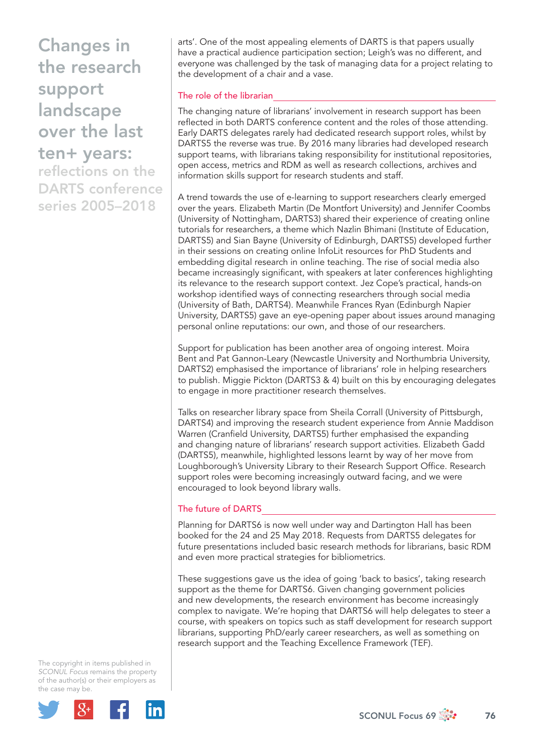Changes in the research support landscape over the last

ten+ years: reflections on the DARTS conference series 2005–2018

arts'. One of the most appealing elements of DARTS is that papers usually have a practical audience participation section; Leigh's was no different, and everyone was challenged by the task of managing data for a project relating to the development of a chair and a vase.

#### The role of the librarian

The changing nature of librarians' involvement in research support has been reflected in both DARTS conference content and the roles of those attending. Early DARTS delegates rarely had dedicated research support roles, whilst by DARTS5 the reverse was true. By 2016 many libraries had developed research support teams, with librarians taking responsibility for institutional repositories, open access, metrics and RDM as well as research collections, archives and information skills support for research students and staff.

A trend towards the use of e-learning to support researchers clearly emerged over the years. Elizabeth Martin (De Montfort University) and Jennifer Coombs (University of Nottingham, DARTS3) shared their experience of creating online tutorials for researchers, a theme which Nazlin Bhimani (Institute of Education, DARTS5) and Sian Bayne (University of Edinburgh, DARTS5) developed further in their sessions on creating online InfoLit resources for PhD Students and embedding digital research in online teaching. The rise of social media also became increasingly significant, with speakers at later conferences highlighting its relevance to the research support context. Jez Cope's practical, hands-on workshop identified ways of connecting researchers through social media (University of Bath, DARTS4). Meanwhile Frances Ryan (Edinburgh Napier University, DARTS5) gave an eye-opening paper about issues around managing personal online reputations: our own, and those of our researchers.

Support for publication has been another area of ongoing interest. Moira Bent and Pat Gannon-Leary (Newcastle University and Northumbria University, DARTS2) emphasised the importance of librarians' role in helping researchers to publish. Miggie Pickton (DARTS3 & 4) built on this by encouraging delegates to engage in more practitioner research themselves.

Talks on researcher library space from Sheila Corrall (University of Pittsburgh, DARTS4) and improving the research student experience from Annie Maddison Warren (Cranfield University, DARTS5) further emphasised the expanding and changing nature of librarians' research support activities. Elizabeth Gadd (DARTS5), meanwhile, highlighted lessons learnt by way of her move from Loughborough's University Library to their Research Support Office. Research support roles were becoming increasingly outward facing, and we were encouraged to look beyond library walls.

#### The future of DARTS

Planning for DARTS6 is now well under way and Dartington Hall has been booked for the 24 and 25 May 2018. Requests from DARTS5 delegates for future presentations included basic research methods for librarians, basic RDM and even more practical strategies for bibliometrics.

These suggestions gave us the idea of going 'back to basics', taking research support as the theme for DARTS6. Given changing government policies and new developments, the research environment has become increasingly complex to navigate. We're hoping that DARTS6 will help delegates to steer a course, with speakers on topics such as staff development for research support librarians, supporting PhD/early career researchers, as well as something on research support and the Teaching Excellence Framework (TEF).

The copyright in items published in *SCONUL Focus* remains the property of the author(s) or their employers as the case may be.